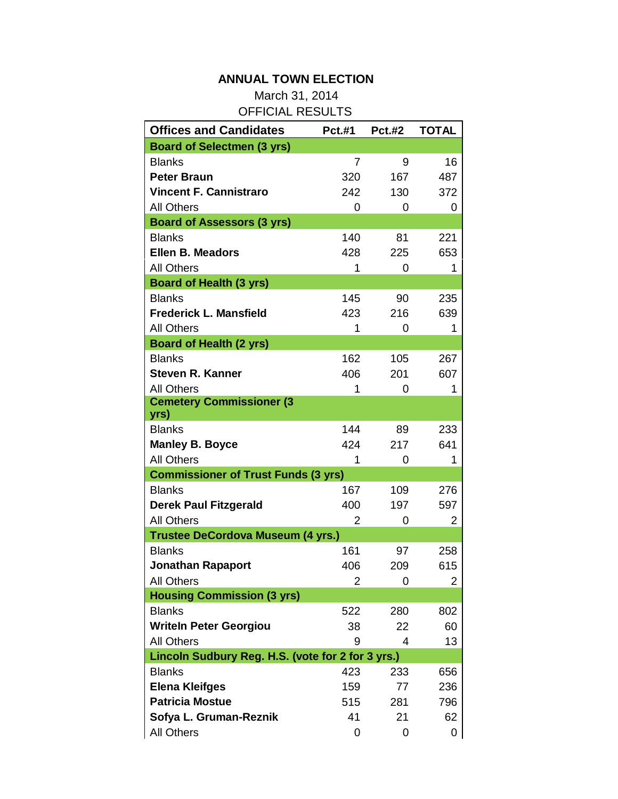## **ANNUAL TOWN ELECTION**

March 31, 2014 OFFICIAL RESULTS

| <b>Offices and Candidates</b>                     | <b>Pct.#1</b>  | <b>Pct.#2</b> | <b>TOTAL</b> |
|---------------------------------------------------|----------------|---------------|--------------|
| <b>Board of Selectmen (3 yrs)</b>                 |                |               |              |
| <b>Blanks</b>                                     | 7              | 9             | 16           |
| <b>Peter Braun</b>                                | 320            | 167           | 487          |
| <b>Vincent F. Cannistraro</b>                     | 242            | 130           | 372          |
| <b>All Others</b>                                 | 0              | 0             | 0            |
| <b>Board of Assessors (3 yrs)</b>                 |                |               |              |
| <b>Blanks</b>                                     | 140            | 81            | 221          |
| Ellen B. Meadors                                  | 428            | 225           | 653          |
| <b>All Others</b>                                 | 1              | 0             | 1            |
| <b>Board of Health (3 yrs)</b>                    |                |               |              |
| <b>Blanks</b>                                     | 145            | 90            | 235          |
| <b>Frederick L. Mansfield</b>                     | 423            | 216           | 639          |
| <b>All Others</b>                                 | 1              | 0             | 1            |
| <b>Board of Health (2 yrs)</b>                    |                |               |              |
| <b>Blanks</b>                                     | 162            | 105           | 267          |
| <b>Steven R. Kanner</b>                           | 406            | 201           | 607          |
| <b>All Others</b>                                 | 1              | 0             | 1            |
| <b>Cemetery Commissioner (3</b>                   |                |               |              |
| yrs)                                              |                |               |              |
| <b>Blanks</b>                                     | 144            | 89            | 233          |
| <b>Manley B. Boyce</b>                            | 424            | 217           | 641          |
| <b>All Others</b>                                 | 1              | 0             | 1            |
| <b>Commissioner of Trust Funds (3 yrs)</b>        |                |               |              |
| <b>Blanks</b>                                     | 167            | 109           | 276          |
| <b>Derek Paul Fitzgerald</b>                      | 400            | 197           | 597          |
| <b>All Others</b>                                 | $\overline{2}$ | 0             | 2            |
| <b>Trustee DeCordova Museum (4 yrs.)</b>          |                |               |              |
| <b>Blanks</b>                                     | 161            | 97            | 258          |
| <b>Jonathan Rapaport</b>                          | 406            | 209           | 615          |
| <b>All Others</b>                                 | $\overline{c}$ | 0             | 2            |
| <b>Housing Commission (3 yrs)</b>                 |                |               |              |
| <b>Blanks</b>                                     | 522            | 280           | 802          |
| <b>Writeln Peter Georgiou</b>                     | 38             | 22            | 60           |
| <b>All Others</b>                                 | 9              | 4             | 13           |
| Lincoln Sudbury Reg. H.S. (vote for 2 for 3 yrs.) |                |               |              |
| <b>Blanks</b>                                     | 423            | 233           | 656          |
| <b>Elena Kleifges</b>                             | 159            | 77            | 236          |
| <b>Patricia Mostue</b>                            | 515            | 281           | 796          |
| Sofya L. Gruman-Reznik                            | 41             | 21            | 62           |
| <b>All Others</b>                                 | 0              | 0             | 0            |